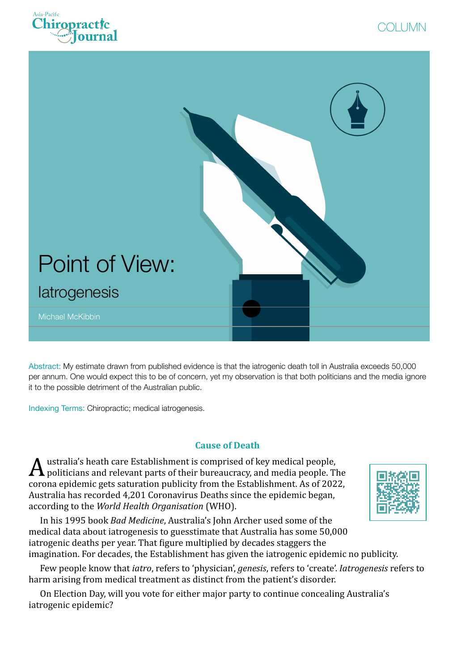





Abstract: My estimate drawn from published evidence is that the iatrogenic death toll in Australia exceeds 50,000 per annum. One would expect this to be of concern, yet my observation is that both politicians and the media ignore it to the possible detriment of the Australian public.

Indexing Terms: Chiropractic; medical iatrogenesis.

# **Cause of Death**

 $\boldsymbol{A}$  ustralia's heath care Establishment is comprised of key medical people, The politicians and relevant parts of their bureaucracy, and media people. The corona epidemic gets saturation publicity from the Establishment. As of 2022, Australia has recorded 4,201 Coronavirus Deaths since the epidemic began, according to the *World Health Organisation* (WHO).



In his 1995 book *Bad Medicine*, Australia's John Archer used some of the medical data about iatrogenesis to guesstimate that Australia has some 50,000 iatrogenic deaths per year. That figure multiplied by decades staggers the imagination. For decades, the Establishment has given the iatrogenic epidemic no publicity.

Few people know that *iatro*, refers to 'physician', *genesis*, refers to 'create'. *Iatrogenesis* refers to harm arising from medical treatment as distinct from the patient's disorder.

On Election Day, will you vote for either major party to continue concealing Australia's iatrogenic epidemic?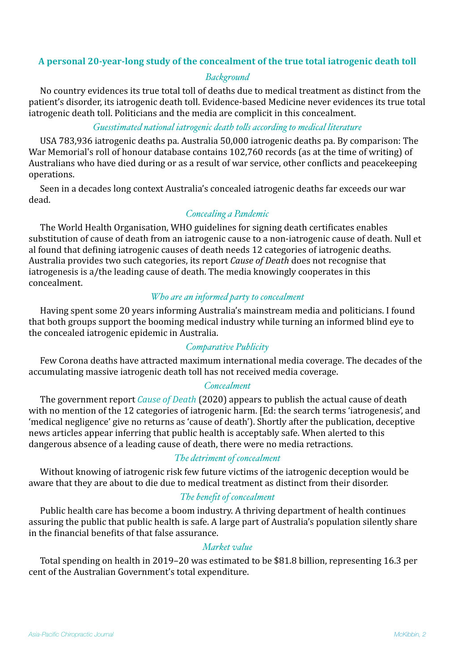## A personal 20-year-long study of the concealment of the true total iatrogenic death toll

## *Background*

No country evidences its true total toll of deaths due to medical treatment as distinct from the patient's disorder, its iatrogenic death toll. Evidence-based Medicine never evidences its true total iatrogenic death toll. Politicians and the media are complicit in this concealment.

## *Guesstimated national iatrogenic death tolls according to medical literature*

USA 783,936 iatrogenic deaths pa. Australia 50,000 iatrogenic deaths pa. By comparison: The War Memorial's roll of honour database contains 102,760 records (as at the time of writing) of Australians who have died during or as a result of war service, other conflicts and peacekeeping operations.

Seen in a decades long context Australia's concealed iatrogenic deaths far exceeds our war dead.

## *Concealing a Pandemic*

The World Health Organisation, WHO guidelines for signing death certificates enables substitution of cause of death from an iatrogenic cause to a non-iatrogenic cause of death. Null et al found that defining iatrogenic causes of death needs 12 categories of iatrogenic deaths. Australia provides two such categories, its report *Cause of Death* does not recognise that iatrogenesis is a/the leading cause of death. The media knowingly cooperates in this concealment.

### *Who are an informed party to concealment*

Having spent some 20 years informing Australia's mainstream media and politicians. I found that both groups support the booming medical industry while turning an informed blind eye to the concealed iatrogenic epidemic in Australia.

## *Comparative Publicity*

Few Corona deaths have attracted maximum international media coverage. The decades of the accumulating massive iatrogenic death toll has not received media coverage.

#### *Concealment*

The government report *Cause of Death* (2020) appears to publish the actual cause of death with no mention of the 12 categories of iatrogenic harm. [Ed: the search terms 'iatrogenesis', and 'medical negligence' give no returns as 'cause of death'). Shortly after the publication, deceptive news articles appear inferring that public health is acceptably safe. When alerted to this dangerous absence of a leading cause of death, there were no media retractions.

## *The detriment of concealment*

Without knowing of iatrogenic risk few future victims of the iatrogenic deception would be aware that they are about to die due to medical treatment as distinct from their disorder.

## *The benefit of concealment*

Public health care has become a boom industry. A thriving department of health continues assuring the public that public health is safe. A large part of Australia's population silently share in the financial benefits of that false assurance.

## *Market value*

Total spending on health in 2019–20 was estimated to be \$81.8 billion, representing 16.3 per cent of the Australian Government's total expenditure.